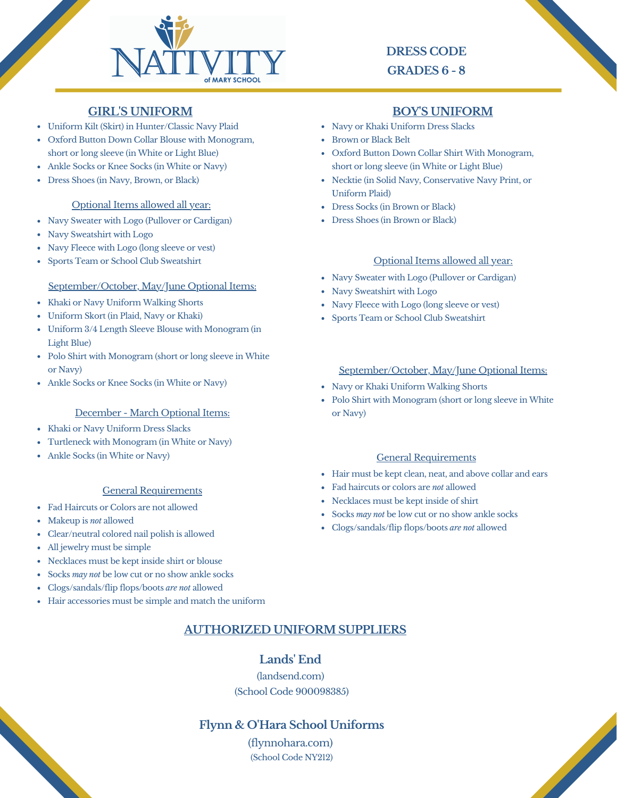

# **DRESS CODE GRADES 6 - 8**

Oxford Button Down Collar Shirt With Monogram, short or long sleeve (in White or Light Blue)

### **GIRL'S UNIFORM BOY'S UNIFORM**

- Uniform Kilt (Skirt) in Hunter/Classic Navy Plaid
- Oxford Button Down Collar Blouse with Monogram, short or long sleeve (in White or Light Blue)
- Ankle Socks or Knee Socks (in White or Navy)
- Dress Shoes (in Navy, Brown, or Black)

#### Optional Items allowed all year:

- Navy Sweater with Logo (Pullover or Cardigan)
- Navy Sweatshirt with Logo
- Navy Fleece with Logo (long sleeve or vest)
- Sports Team or School Club Sweatshirt

#### September/October, May/June Optional Items:

- Khaki or Navy Uniform Walking Shorts
- Uniform Skort (in Plaid, Navy or Khaki)
- Uniform 3/4 Length Sleeve Blouse with Monogram (in Light Blue)
- Polo Shirt with Monogram (short or long sleeve in White or Navy)
- Ankle Socks or Knee Socks (in White or Navy)

### December - March Optional Items:

- Khaki or Navy Uniform Dress Slacks
- Turtleneck with Monogram (in White or Navy)
- Ankle Socks (in White or Navy)

#### General Requirements

- Fad Haircuts or Colors are not allowed
- Makeup is *not* allowed
- Clear/neutral colored nail polish is allowed
- All jewelry must be simple
- Necklaces must be kept inside shirt or blouse
- Socks *may not* be low cut or no show ankle socks
- Clogs/sandals/flip flops/boots *are not* allowed
- Hair accessories must be simple and match the uniform

#### Necktie (in Solid Navy, Conservative Navy Print, or Uniform Plaid)

Dress Socks (in Brown or Black)

• Navy or Khaki Uniform Dress Slacks

Brown or Black Belt

Dress Shoes (in Brown or Black)

#### Optional Items allowed all year:

- Navy Sweater with Logo (Pullover or Cardigan)
- Navy Sweatshirt with Logo
- Navy Fleece with Logo (long sleeve or vest)
- Sports Team or School Club Sweatshirt

#### September/October, May/June Optional Items:

- Navy or Khaki Uniform Walking Shorts
- Polo Shirt with Monogram (short or long sleeve in White or Navy)

#### General Requirements

- Hair must be kept clean, neat, and above collar and ears
- Fad haircuts or colors are *not* allowed
- Necklaces must be kept inside of shirt
- Socks *may not* be low cut or no show ankle socks
- Clogs/sandals/flip flops/boots *are not* allowed

## **AUTHORIZED UNIFORM SUPPLIERS**

### **Lands' End**

(landsend.com) (School Code 900098385)

**Flynn & O'Hara School Uniforms**

(flynnohara.com) (School Code NY212)